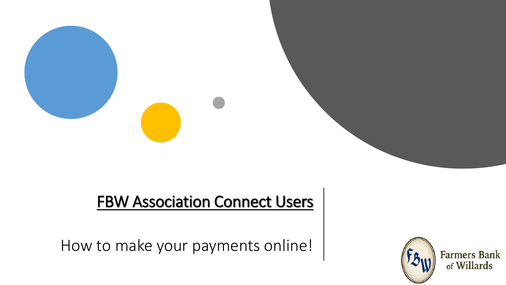## **FBW Association Connect Users**

How to make your payments online!

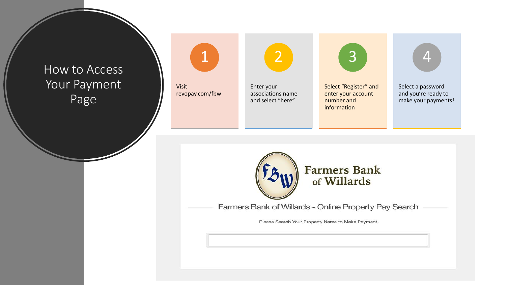How to Access Your Payment Page



Farmers Bank of Willards - Online Property Pay Search

Select a password and you're ready to make your payments! <sup>4</sup>

Please Search Your Property Name to Make Payment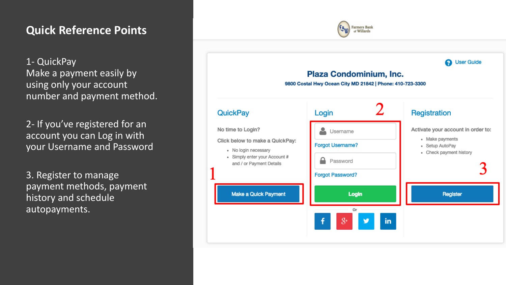## **Quick Reference Points**

1- QuickPay Make a payment easily by using only your account number and payment method.

2- If you've registered for an account you can Log in with your Username and Password

3. Register to manage payment methods, payment history and schedule autopayments.



**Farmers Bank**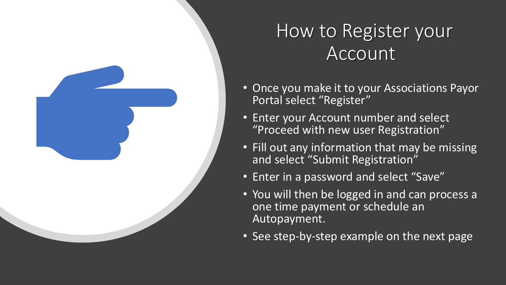

## How to Register your Account

- Once you make it to your Associations Payor Portal select "Register"
- Enter your Account number and select "Proceed with new user Registration"
- Fill out any information that may be missing and select "Submit Registration"
- Enter in a password and select "Save"
- You will then be logged in and can process a one time payment or schedule an Autopayment.
- See step-by-step example on the next page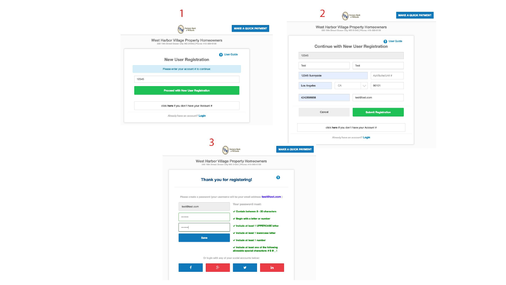| $\left(\mathsf{f}_{\mathfrak{H}_\mathsf{W}}\right)$ Farmers Bank                                     | <b>MAKE A QUICK PAYMENT</b>                                                                          |                             | West Harbor Village Property Homeowners<br>220 16th Street Ocean City MD 21842   Phone: 410-289-6156 |                                |                            |  |
|------------------------------------------------------------------------------------------------------|------------------------------------------------------------------------------------------------------|-----------------------------|------------------------------------------------------------------------------------------------------|--------------------------------|----------------------------|--|
| West Harbor Village Property Homeowners<br>220 16th Street Ocean City MD 21842   Phone: 410-289-6156 |                                                                                                      |                             | <sup>O</sup> User Guide<br><b>Continue with New User Registration</b>                                |                                |                            |  |
| <b>New User Registration</b>                                                                         | <b>B</b> User Guide                                                                                  | 12345                       |                                                                                                      |                                |                            |  |
| Please enter your account # to continue:                                                             |                                                                                                      | Test                        | Test                                                                                                 |                                |                            |  |
| 12345                                                                                                |                                                                                                      | 12345 Sunnyside             |                                                                                                      |                                | Apt/Suite/Unit #           |  |
| <b>Proceed with New User Registration</b>                                                            |                                                                                                      | Los Angeles                 | CA                                                                                                   |                                | 90101                      |  |
|                                                                                                      |                                                                                                      | 4242896658                  |                                                                                                      | test@test.com                  |                            |  |
| click here if you don't have your Account #                                                          |                                                                                                      |                             |                                                                                                      |                                |                            |  |
| Already have an account? Login                                                                       |                                                                                                      |                             | Cancel                                                                                               |                                | <b>Submit Registration</b> |  |
|                                                                                                      |                                                                                                      |                             |                                                                                                      |                                |                            |  |
|                                                                                                      | 3<br>$\left(\text{F3}_\text{W}\right)$ Farmers Bank                                                  | <b>MAKE A QUICK PAYMENT</b> | click here if you don't have your Account #                                                          | Already have an account? Login |                            |  |
|                                                                                                      | West Harbor Village Property Homeowners<br>220 16th Street Ocean City MD 21842   Phone: 410-289-6156 |                             |                                                                                                      |                                |                            |  |
|                                                                                                      | Thank you for registering!                                                                           | €                           |                                                                                                      |                                |                            |  |
|                                                                                                      | Please create a password (your username will be your email address: test@test.com)                   |                             |                                                                                                      |                                |                            |  |
| test@test.com                                                                                        | Your password must:                                                                                  |                             |                                                                                                      |                                |                            |  |
|                                                                                                      | $\checkmark$ Contain between 8 - 20 characters<br>$\checkmark$ Begin with a letter or number         |                             |                                                                                                      |                                |                            |  |
|                                                                                                      | √ Include at least 1 UPPERCASE letter                                                                |                             |                                                                                                      |                                |                            |  |
| Save                                                                                                 | √ Include at least 1 lowercase letter<br>← Include at least 1 number                                 |                             |                                                                                                      |                                |                            |  |
|                                                                                                      | $\checkmark$ Include at least one of the following<br>allowable special characters: #\$@_!           |                             |                                                                                                      |                                |                            |  |